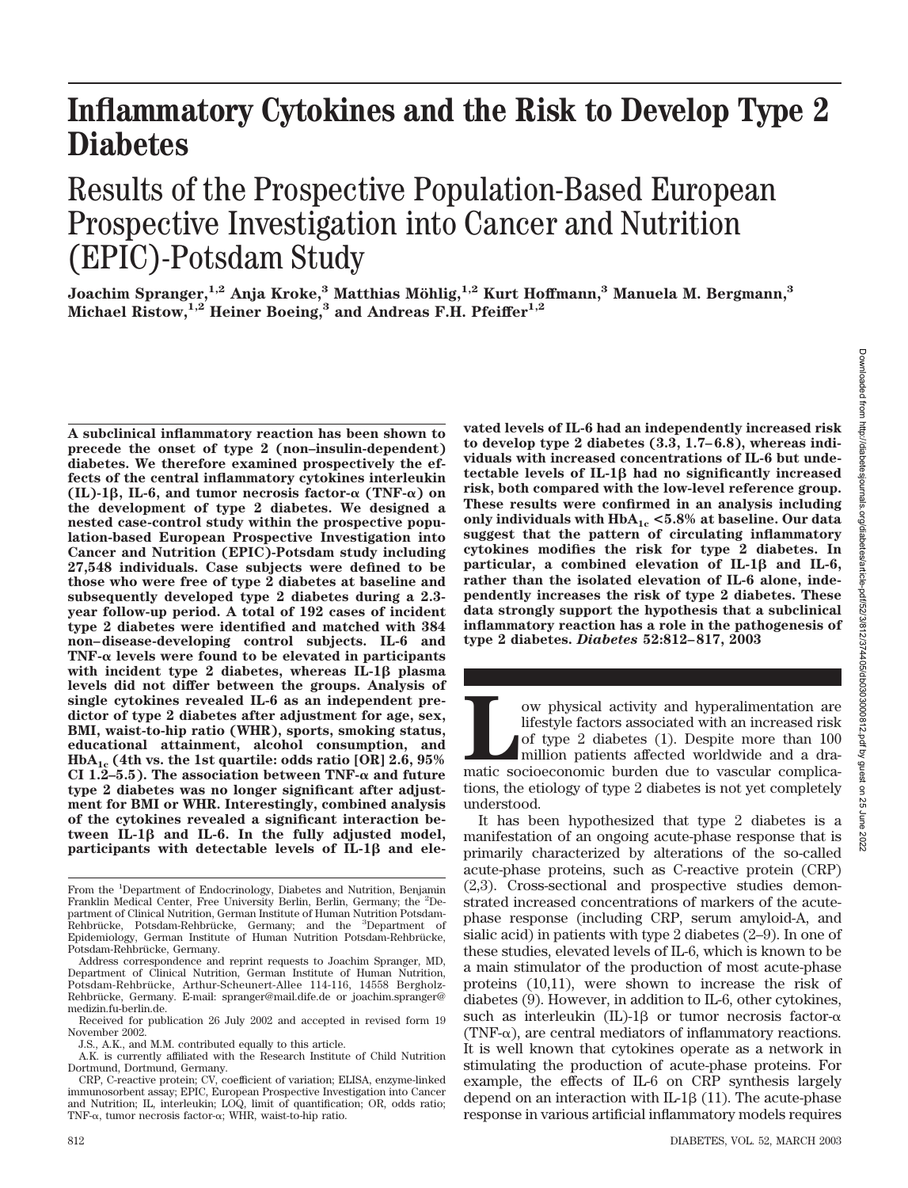# **Inflammatory Cytokines and the Risk to Develop Type 2 Diabetes**

## Results of the Prospective Population-Based European Prospective Investigation into Cancer and Nutrition (EPIC)-Potsdam Study

**Joachim Spranger,1,2 Anja Kroke,3 Matthias Mo¨hlig,1,2 Kurt Hoffmann,3 Manuela M. Bergmann,3 Michael Ristow,1,2 Heiner Boeing,3 and Andreas F.H. Pfeiffer1,2**

**A subclinical inflammatory reaction has been shown to precede the onset of type 2 (non–insulin-dependent) diabetes. We therefore examined prospectively the effects of the central inflammatory cytokines interleukin** (IL)-1β, IL-6, and tumor necrosis factor- $\alpha$  (TNF- $\alpha$ ) on **the development of type 2 diabetes. We designed a nested case-control study within the prospective population-based European Prospective Investigation into Cancer and Nutrition (EPIC)-Potsdam study including 27,548 individuals. Case subjects were defined to be those who were free of type 2 diabetes at baseline and subsequently developed type 2 diabetes during a 2.3 year follow-up period. A total of 192 cases of incident type 2 diabetes were identified and matched with 384 non–disease-developing control subjects. IL-6 and TNF-**- **levels were found to be elevated in participants** with incident type 2 diabetes, whereas IL-1<sup>8</sup> plasma **levels did not differ between the groups. Analysis of single cytokines revealed IL-6 as an independent predictor of type 2 diabetes after adjustment for age, sex, BMI, waist-to-hip ratio (WHR), sports, smoking status, educational attainment, alcohol consumption, and HbA1c (4th vs. the 1st quartile: odds ratio [OR] 2.6, 95%** CI 1.2-5.5). The association between TNF- $\alpha$  and future **type 2 diabetes was no longer significant after adjustment for BMI or WHR. Interestingly, combined analysis of the cytokines revealed a significant interaction be**tween IL-1<sup>β</sup> and IL-6. In the fully adjusted model, **participants with detectable levels of IL-1** $\beta$  **and ele-**

**vated levels of IL-6 had an independently increased risk to develop type 2 diabetes (3.3, 1.7–6.8), whereas individuals with increased concentrations of IL-6 but unde**tectable levels of IL-1<sup> $\beta$ </sup> had no significantly increased **risk, both compared with the low-level reference group. These results were confirmed in an analysis including only individuals with HbA1c <5.8% at baseline. Our data suggest that the pattern of circulating inflammatory cytokines modifies the risk for type 2 diabetes. In** particular, a combined elevation of  $IL-1\beta$  and  $IL-6$ , **rather than the isolated elevation of IL-6 alone, independently increases the risk of type 2 diabetes. These data strongly support the hypothesis that a subclinical inflammatory reaction has a role in the pathogenesis of type 2 diabetes.** *Diabetes* **52:812–817, 2003**

**Low physical activity and hyperalimentation are lifestyle factors associated with an increased risk of type 2 diabetes (1). Despite more than 100 million patients affected worldwide and a dramatic socioeconomic burden due** lifestyle factors associated with an increased risk of type 2 diabetes (1). Despite more than 100 million patients affected worldwide and a drations, the etiology of type 2 diabetes is not yet completely understood.

It has been hypothesized that type 2 diabetes is a manifestation of an ongoing acute-phase response that is primarily characterized by alterations of the so-called acute-phase proteins, such as C-reactive protein (CRP) (2,3). Cross-sectional and prospective studies demonstrated increased concentrations of markers of the acutephase response (including CRP, serum amyloid-A, and sialic acid) in patients with type 2 diabetes (2–9). In one of these studies, elevated levels of IL-6, which is known to be a main stimulator of the production of most acute-phase proteins (10,11), were shown to increase the risk of diabetes (9). However, in addition to IL-6, other cytokines, such as interleukin (IL)-1 $\beta$  or tumor necrosis factor- $\alpha$  $(TNF-\alpha)$ , are central mediators of inflammatory reactions. It is well known that cytokines operate as a network in stimulating the production of acute-phase proteins. For example, the effects of IL-6 on CRP synthesis largely depend on an interaction with IL-1 $\beta$  (11). The acute-phase response in various artificial inflammatory models requires

From the <sup>1</sup>Department of Endocrinology, Diabetes and Nutrition, Benjamin Franklin Medical Center, Free University Berlin, Berlin, Germany; the <sup>2</sup>Department of Clinical Nutrition, German Institute of Human Nutrition Potsdam-Rehbrücke, Potsdam-Rehbrücke, Germany; and the <sup>3</sup>Department of Epidemiology, German Institute of Human Nutrition Potsdam-Rehbrücke, Potsdam-Rehbrücke, Germany.

Address correspondence and reprint requests to Joachim Spranger, MD, Department of Clinical Nutrition, German Institute of Human Nutrition, Potsdam-Rehbrücke, Arthur-Scheunert-Allee 114-116, 14558 Bergholz-Rehbrücke, Germany. E-mail: spranger@mail.dife.de or joachim.spranger@ medizin.fu-berlin.de.

Received for publication 26 July 2002 and accepted in revised form 19 November 2002.

J.S., A.K., and M.M. contributed equally to this article.

A.K. is currently affiliated with the Research Institute of Child Nutrition Dortmund, Dortmund, Germany.

CRP, C-reactive protein; CV, coefficient of variation; ELISA, enzyme-linked immunosorbent assay; EPIC, European Prospective Investigation into Cancer and Nutrition; IL, interleukin; LOQ, limit of quantification; OR, odds ratio; TNF- $\alpha$ , tumor necrosis factor- $\alpha$ ; WHR, waist-to-hip ratio.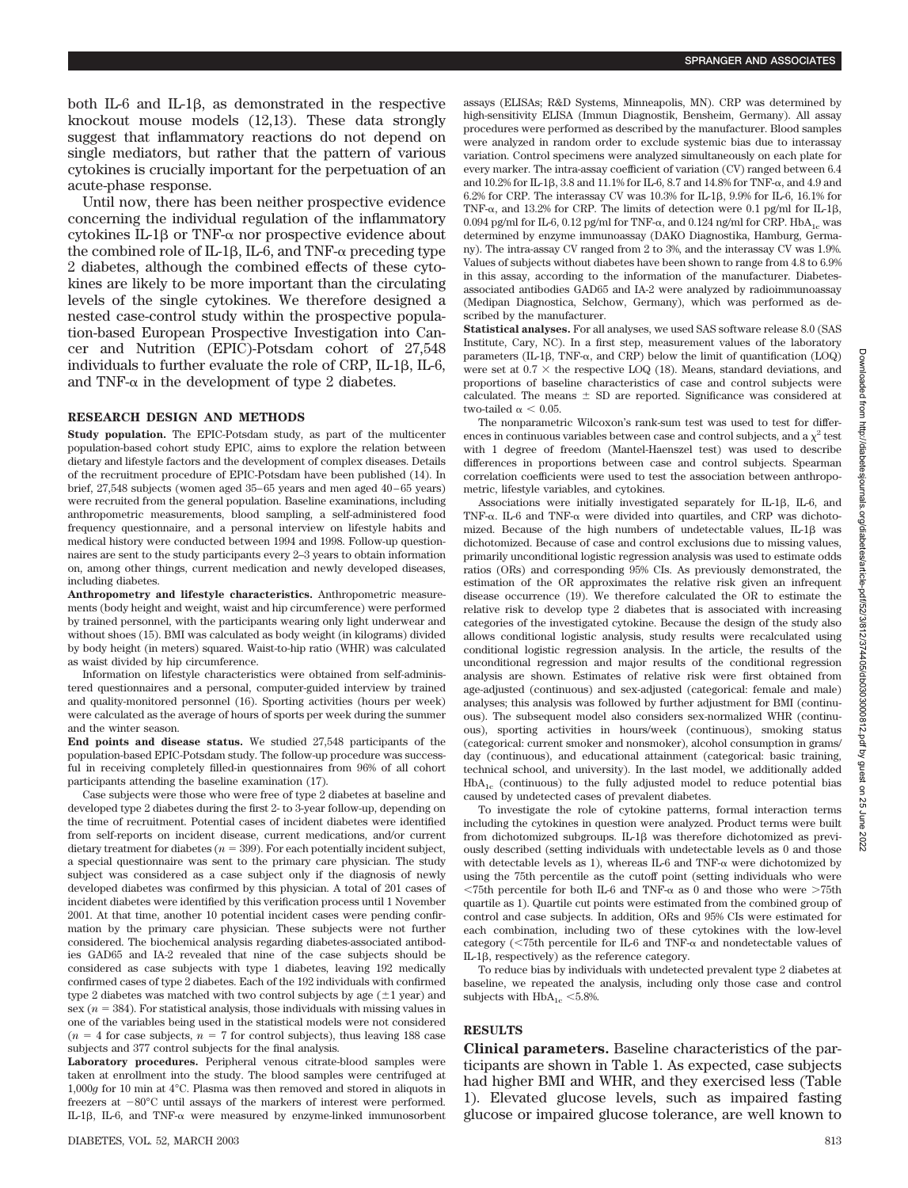both IL-6 and IL-1 $\beta$ , as demonstrated in the respective knockout mouse models (12,13). These data strongly suggest that inflammatory reactions do not depend on single mediators, but rather that the pattern of various cytokines is crucially important for the perpetuation of an acute-phase response.

Until now, there has been neither prospective evidence concerning the individual regulation of the inflammatory cytokines IL-1 $\beta$  or TNF- $\alpha$  nor prospective evidence about the combined role of IL-1 $\beta$ , IL-6, and TNF- $\alpha$  preceding type 2 diabetes, although the combined effects of these cytokines are likely to be more important than the circulating levels of the single cytokines. We therefore designed a nested case-control study within the prospective population-based European Prospective Investigation into Cancer and Nutrition (EPIC)-Potsdam cohort of 27,548 individuals to further evaluate the role of CRP,  $IL-18$ ,  $IL-6$ , and TNF- $\alpha$  in the development of type 2 diabetes.

## **RESEARCH DESIGN AND METHODS**

**Study population.** The EPIC-Potsdam study, as part of the multicenter population-based cohort study EPIC, aims to explore the relation between dietary and lifestyle factors and the development of complex diseases. Details of the recruitment procedure of EPIC-Potsdam have been published (14). In brief, 27,548 subjects (women aged 35–65 years and men aged 40–65 years) were recruited from the general population. Baseline examinations, including anthropometric measurements, blood sampling, a self-administered food frequency questionnaire, and a personal interview on lifestyle habits and medical history were conducted between 1994 and 1998. Follow-up questionnaires are sent to the study participants every 2–3 years to obtain information on, among other things, current medication and newly developed diseases, including diabetes.

**Anthropometry and lifestyle characteristics.** Anthropometric measurements (body height and weight, waist and hip circumference) were performed by trained personnel, with the participants wearing only light underwear and without shoes (15). BMI was calculated as body weight (in kilograms) divided by body height (in meters) squared. Waist-to-hip ratio (WHR) was calculated as waist divided by hip circumference.

Information on lifestyle characteristics were obtained from self-administered questionnaires and a personal, computer-guided interview by trained and quality-monitored personnel (16). Sporting activities (hours per week) were calculated as the average of hours of sports per week during the summer and the winter season.

**End points and disease status.** We studied 27,548 participants of the population-based EPIC-Potsdam study. The follow-up procedure was successful in receiving completely filled-in questionnaires from 96% of all cohort participants attending the baseline examination (17).

Case subjects were those who were free of type 2 diabetes at baseline and developed type 2 diabetes during the first 2- to 3-year follow-up, depending on the time of recruitment. Potential cases of incident diabetes were identified from self-reports on incident disease, current medications, and/or current dietary treatment for diabetes ( $n = 399$ ). For each potentially incident subject, a special questionnaire was sent to the primary care physician. The study subject was considered as a case subject only if the diagnosis of newly developed diabetes was confirmed by this physician. A total of 201 cases of incident diabetes were identified by this verification process until 1 November 2001. At that time, another 10 potential incident cases were pending confirmation by the primary care physician. These subjects were not further considered. The biochemical analysis regarding diabetes-associated antibodies GAD65 and IA-2 revealed that nine of the case subjects should be considered as case subjects with type 1 diabetes, leaving 192 medically confirmed cases of type 2 diabetes. Each of the 192 individuals with confirmed type 2 diabetes was matched with two control subjects by age  $(\pm 1 \text{ year})$  and sex ( $n = 384$ ). For statistical analysis, those individuals with missing values in one of the variables being used in the statistical models were not considered  $(n = 4$  for case subjects,  $n = 7$  for control subjects), thus leaving 188 case subjects and 377 control subjects for the final analysis.

**Laboratory procedures.** Peripheral venous citrate-blood samples were taken at enrollment into the study. The blood samples were centrifuged at 1,000*g* for 10 min at 4°C. Plasma was then removed and stored in aliquots in freezers at  $-80^{\circ}$ C until assays of the markers of interest were performed. IL-1 $\beta$ , IL-6, and TNF- $\alpha$  were measured by enzyme-linked immunosorbent

assays (ELISAs; R&D Systems, Minneapolis, MN). CRP was determined by high-sensitivity ELISA (Immun Diagnostik, Bensheim, Germany). All assay procedures were performed as described by the manufacturer. Blood samples were analyzed in random order to exclude systemic bias due to interassay variation. Control specimens were analyzed simultaneously on each plate for every marker. The intra-assay coefficient of variation (CV) ranged between 6.4 and 10.2% for IL-1 $\beta$ , 3.8 and 11.1% for IL-6, 8.7 and 14.8% for TNF- $\alpha$ , and 4.9 and 6.2% for CRP. The interassay CV was  $10.3%$  for IL-1 $\beta$ ,  $9.9%$  for IL-6, 16.1% for TNF- $\alpha$ , and 13.2% for CRP. The limits of detection were 0.1 pg/ml for IL-1 $\beta$ , 0.094 pg/ml for IL-6, 0.12 pg/ml for TNF- $\alpha$ , and 0.124 ng/ml for CRP.  $H\!bA_{1c}$  was determined by enzyme immunoassay (DAKO Diagnostika, Hamburg, Germany). The intra-assay CV ranged from 2 to 3%, and the interassay CV was 1.9%. Values of subjects without diabetes have been shown to range from 4.8 to 6.9% in this assay, according to the information of the manufacturer. Diabetesassociated antibodies GAD65 and IA-2 were analyzed by radioimmunoassay (Medipan Diagnostica, Selchow, Germany), which was performed as described by the manufacturer.

**Statistical analyses.** For all analyses, we used SAS software release 8.0 (SAS Institute, Cary, NC). In a first step, measurement values of the laboratory parameters (IL-1 $\beta$ , TNF- $\alpha$ , and CRP) below the limit of quantification (LOQ) were set at  $0.7 \times$  the respective LOQ (18). Means, standard deviations, and proportions of baseline characteristics of case and control subjects were calculated. The means  $\pm$  SD are reported. Significance was considered at two-tailed  $\alpha < 0.05$ .

The nonparametric Wilcoxon's rank-sum test was used to test for differences in continuous variables between case and control subjects, and a  $\chi^2$  test with 1 degree of freedom (Mantel-Haenszel test) was used to describe differences in proportions between case and control subjects. Spearman correlation coefficients were used to test the association between anthropometric, lifestyle variables, and cytokines.

Associations were initially investigated separately for  $IL-1\beta$ ,  $IL-6$ , and TNF- $\alpha$ . IL-6 and TNF- $\alpha$  were divided into quartiles, and CRP was dichotomized. Because of the high numbers of undetectable values, IL-1 $\beta$  was dichotomized. Because of case and control exclusions due to missing values, primarily unconditional logistic regression analysis was used to estimate odds ratios (ORs) and corresponding 95% CIs. As previously demonstrated, the estimation of the OR approximates the relative risk given an infrequent disease occurrence (19). We therefore calculated the OR to estimate the relative risk to develop type 2 diabetes that is associated with increasing categories of the investigated cytokine. Because the design of the study also allows conditional logistic analysis, study results were recalculated using conditional logistic regression analysis. In the article, the results of the unconditional regression and major results of the conditional regression analysis are shown. Estimates of relative risk were first obtained from age-adjusted (continuous) and sex-adjusted (categorical: female and male) analyses; this analysis was followed by further adjustment for BMI (continuous). The subsequent model also considers sex-normalized WHR (continuous), sporting activities in hours/week (continuous), smoking status (categorical: current smoker and nonsmoker), alcohol consumption in grams/ day (continuous), and educational attainment (categorical: basic training, technical school, and university). In the last model, we additionally added  $HbA<sub>1c</sub>$  (continuous) to the fully adjusted model to reduce potential bias caused by undetected cases of prevalent diabetes.

To investigate the role of cytokine patterns, formal interaction terms including the cytokines in question were analyzed. Product terms were built from dichotomized subgroups. IL-1 $\beta$  was therefore dichotomized as previously described (setting individuals with undetectable levels as 0 and those with detectable levels as 1), whereas IL-6 and TNF- $\alpha$  were dichotomized by using the 75th percentile as the cutoff point (setting individuals who were  $\leq$ 75th percentile for both IL-6 and TNF- $\alpha$  as 0 and those who were  $\geq$ 75th quartile as 1). Quartile cut points were estimated from the combined group of control and case subjects. In addition, ORs and 95% CIs were estimated for each combination, including two of these cytokines with the low-level category ( $\leq$ 75th percentile for IL-6 and TNF- $\alpha$  and nondetectable values of IL-1 $\beta$ , respectively) as the reference category.

To reduce bias by individuals with undetected prevalent type 2 diabetes at baseline, we repeated the analysis, including only those case and control subjects with  $HbA_{1c} < 5.8\%$ .

### **RESULTS**

**Clinical parameters.** Baseline characteristics of the participants are shown in Table 1. As expected, case subjects had higher BMI and WHR, and they exercised less (Table 1). Elevated glucose levels, such as impaired fasting glucose or impaired glucose tolerance, are well known to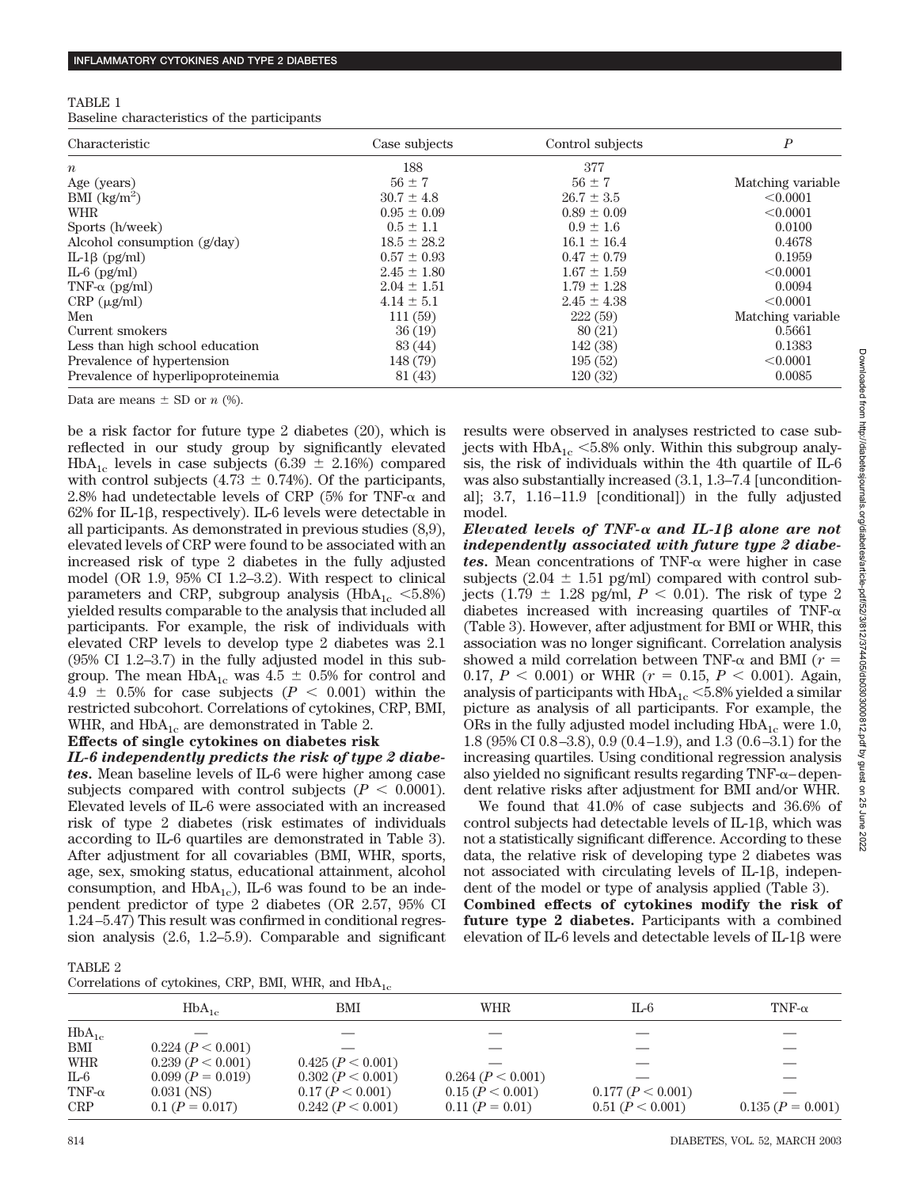| TABLE 1                                      |  |
|----------------------------------------------|--|
| Baseline characteristics of the participants |  |

| Characteristic                     | Case subjects   | Control subjects | $\boldsymbol{P}$  |
|------------------------------------|-----------------|------------------|-------------------|
| $\boldsymbol{n}$                   | 188             | 377              |                   |
| Age (years)                        | $56 \pm 7$      | $56 \pm 7$       | Matching variable |
| BMI $\frac{\text{kg}}{\text{m}^2}$ | $30.7 \pm 4.8$  | $26.7 \pm 3.5$   | < 0.0001          |
| <b>WHR</b>                         | $0.95 \pm 0.09$ | $0.89 \pm 0.09$  | < 0.0001          |
| Sports (h/week)                    | $0.5 \pm 1.1$   | $0.9 \pm 1.6$    | 0.0100            |
| Alcohol consumption $(g/day)$      | $18.5 \pm 28.2$ | $16.1 \pm 16.4$  | 0.4678            |
| IL-1 $\beta$ (pg/ml)               | $0.57 \pm 0.93$ | $0.47 \pm 0.79$  | 0.1959            |
| $IL-6$ (pg/ml)                     | $2.45 \pm 1.80$ | $1.67 \pm 1.59$  | < 0.0001          |
| TNF- $\alpha$ (pg/ml)              | $2.04 \pm 1.51$ | $1.79 \pm 1.28$  | 0.0094            |
| $CRP (\mu g/ml)$                   | $4.14 \pm 5.1$  | $2.45 \pm 4.38$  | < 0.0001          |
| Men                                | 111(59)         | 222(59)          | Matching variable |
| Current smokers                    | 36(19)          | 80(21)           | 0.5661            |
| Less than high school education    | 83 (44)         | 142 (38)         | 0.1383            |
| Prevalence of hypertension         | 148 (79)        | 195(52)          | < 0.0001          |
| Prevalence of hyperlipoproteinemia | 81 (43)         | 120(32)          | 0.0085            |

Data are means  $\pm$  SD or *n* (%).

be a risk factor for future type 2 diabetes (20), which is reflected in our study group by significantly elevated HbA<sub>1c</sub> levels in case subjects (6.39  $\pm$  2.16%) compared with control subjects (4.73  $\pm$  0.74%). Of the participants, 2.8% had undetectable levels of CRP ( $5\%$  for TNF- $\alpha$  and  $62\%$  for IL-1 $\beta$ , respectively). IL-6 levels were detectable in all participants. As demonstrated in previous studies (8,9), elevated levels of CRP were found to be associated with an increased risk of type 2 diabetes in the fully adjusted model (OR 1.9, 95% CI 1.2–3.2). With respect to clinical parameters and CRP, subgroup analysis (HbA<sub>1c</sub>  $\leq 5.8\%$ ) yielded results comparable to the analysis that included all participants. For example, the risk of individuals with elevated CRP levels to develop type 2 diabetes was 2.1 (95% CI 1.2–3.7) in the fully adjusted model in this subgroup. The mean  $HbA_{1c}$  was  $4.5 \pm 0.5\%$  for control and 4.9  $\pm$  0.5% for case subjects ( $P < 0.001$ ) within the restricted subcohort. Correlations of cytokines, CRP, BMI, WHR, and  $HbA_{1c}$  are demonstrated in Table 2.

## **Effects of single cytokines on diabetes risk**

*IL-6 independently predicts the risk of type 2 diabetes.* Mean baseline levels of IL-6 were higher among case subjects compared with control subjects  $(P < 0.0001)$ . Elevated levels of IL-6 were associated with an increased risk of type 2 diabetes (risk estimates of individuals according to IL-6 quartiles are demonstrated in Table 3). After adjustment for all covariables (BMI, WHR, sports, age, sex, smoking status, educational attainment, alcohol consumption, and  $HbA_{1c}$ , IL-6 was found to be an independent predictor of type 2 diabetes (OR 2.57, 95% CI 1.24–5.47) This result was confirmed in conditional regression analysis (2.6, 1.2–5.9). Comparable and significant results were observed in analyses restricted to case subjects with  $HbA_{1c} < 5.8\%$  only. Within this subgroup analysis, the risk of individuals within the 4th quartile of IL-6 was also substantially increased (3.1, 1.3–7.4 [unconditional]; 3.7, 1.16–11.9 [conditional]) in the fully adjusted model.

*Elevated levels of TNF-*- *and IL-1 alone are not independently associated with future type 2 diabe* $tes.$  Mean concentrations of TNF- $\alpha$  were higher in case subjects (2.04  $\pm$  1.51 pg/ml) compared with control subjects (1.79  $\pm$  1.28 pg/ml,  $P < 0.01$ ). The risk of type 2 diabetes increased with increasing quartiles of TNF- $\alpha$ (Table 3). However, after adjustment for BMI or WHR, this association was no longer significant. Correlation analysis showed a mild correlation between TNF- $\alpha$  and BMI ( $r =$ 0.17,  $P < 0.001$ ) or WHR ( $r = 0.15$ ,  $P < 0.001$ ). Again, analysis of participants with  $HbA_{1c} < 5.8\%$  yielded a similar picture as analysis of all participants. For example, the ORs in the fully adjusted model including  $HbA_{1c}$  were 1.0, 1.8 (95% CI 0.8–3.8), 0.9 (0.4–1.9), and 1.3 (0.6–3.1) for the increasing quartiles. Using conditional regression analysis also yielded no significant results regarding  $\text{TNF-}\alpha-\text{depen-}$ dent relative risks after adjustment for BMI and/or WHR.

We found that 41.0% of case subjects and 36.6% of control subjects had detectable levels of  $IL-1\beta$ , which was not a statistically significant difference. According to these data, the relative risk of developing type 2 diabetes was not associated with circulating levels of  $IL-1\beta$ , independent of the model or type of analysis applied (Table 3). **Combined effects of cytokines modify the risk of future type 2 diabetes.** Participants with a combined elevation of IL-6 levels and detectable levels of IL-1 $\beta$  were

| . . |  |
|-----|--|
|-----|--|

|               | $HbA_{1c}$          | BMI               | <b>WHR</b>        | IL-6              | $TNF-\alpha$        |
|---------------|---------------------|-------------------|-------------------|-------------------|---------------------|
| $HbA_{1c}$    |                     |                   |                   |                   |                     |
| BMI           | 0.224 (P < 0.001)   |                   |                   |                   |                     |
| WHR           | 0.239 (P < 0.001)   | 0.425 (P < 0.001) |                   |                   |                     |
| $IL-6$        | $0.099 (P = 0.019)$ | 0.302 (P < 0.001) | 0.264 (P < 0.001) |                   |                     |
| TNF- $\alpha$ | $0.031$ (NS)        | 0.17 (P < 0.001)  | 0.15 (P < 0.001)  | 0.177 (P < 0.001) |                     |
| <b>CRP</b>    | $0.1 (P = 0.017)$   | 0.242 (P < 0.001) | $0.11 (P = 0.01)$ | 0.51 (P < 0.001)  | $0.135 (P = 0.001)$ |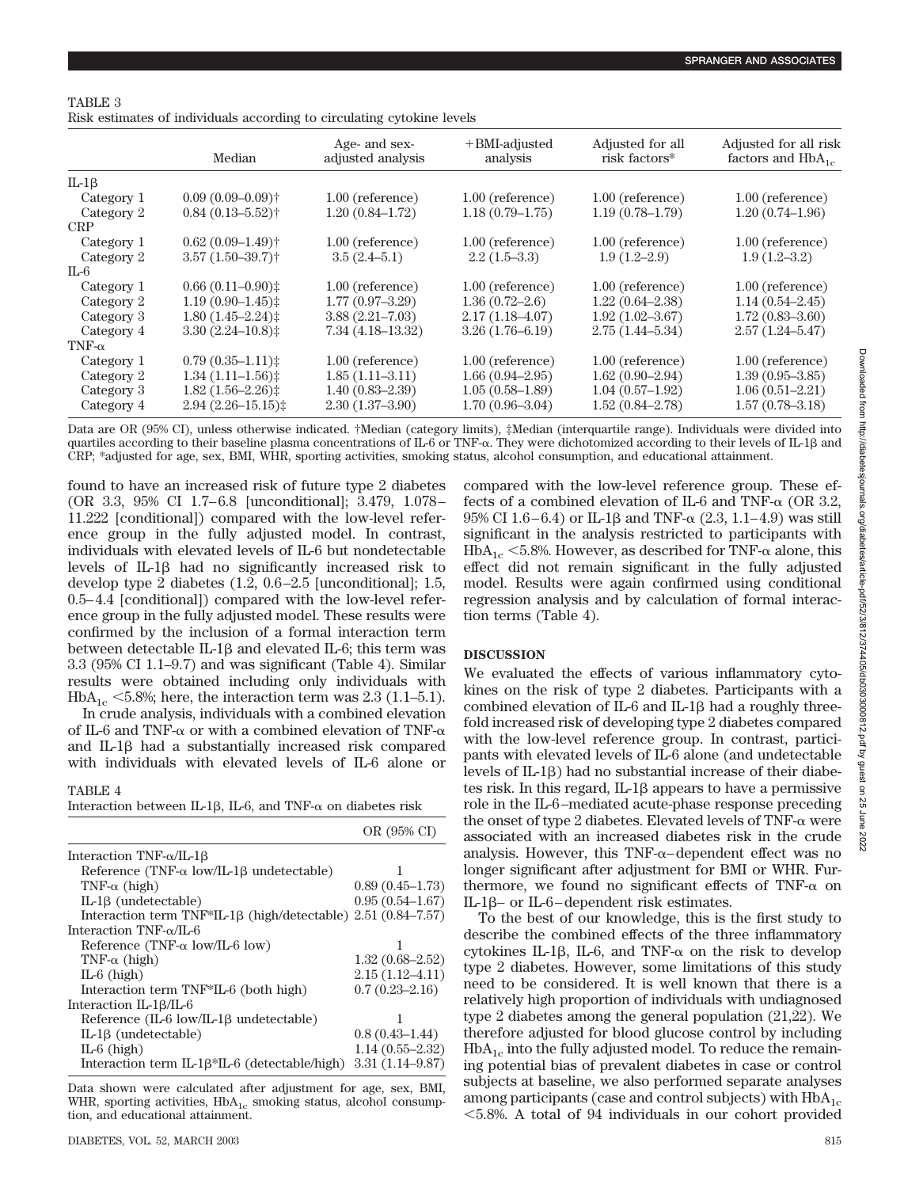| TABLE 3 |  |
|---------|--|
|---------|--|

Risk estimates of individuals according to circulating cytokine levels

|               | Median                         | Age- and sex-<br>adjusted analysis | $+$ BMI-adjusted<br>analysis | Adjusted for all<br>risk factors* | Adjusted for all risk<br>factors and $HbA_{1c}$ |
|---------------|--------------------------------|------------------------------------|------------------------------|-----------------------------------|-------------------------------------------------|
| $IL-1\beta$   |                                |                                    |                              |                                   |                                                 |
| Category 1    | $0.09(0.09-0.09)$ <sup>†</sup> | $1.00$ (reference)                 | $1.00$ (reference)           | $1.00$ (reference)                | $1.00$ (reference)                              |
| Category 2    | $0.84(0.13 - 5.52)$ †          | $1.20(0.84 - 1.72)$                | $1.18(0.79-1.75)$            | $1.19(0.78 - 1.79)$               | $1.20(0.74 - 1.96)$                             |
| <b>CRP</b>    |                                |                                    |                              |                                   |                                                 |
| Category 1    | $0.62(0.09-1.49)$ <sup>†</sup> | $1.00$ (reference)                 | $1.00$ (reference)           | $1.00$ (reference)                | $1.00$ (reference)                              |
| Category 2    | $3.57(1.50-39.7)$              | $3.5(2.4-5.1)$                     | $2.2(1.5-3.3)$               | $1.9(1.2 - 2.9)$                  | $1.9(1.2 - 3.2)$                                |
| $IL-6$        |                                |                                    |                              |                                   |                                                 |
| Category 1    | $0.66(0.11-0.90)$              | $1.00$ (reference)                 | 1.00 (reference)             | $1.00$ (reference)                | $1.00$ (reference)                              |
| Category 2    | $1.19(0.90-1.45)$              | $1.77(0.97 - 3.29)$                | $1.36(0.72 - 2.6)$           | $1.22(0.64 - 2.38)$               | $1.14(0.54 - 2.45)$                             |
| Category 3    | $1.80(1.45-2.24)$              | $3.88(2.21 - 7.03)$                | $2.17(1.18 - 4.07)$          | $1.92(1.02 - 3.67)$               | $1.72(0.83 - 3.60)$                             |
| Category 4    | $3.30(2.24 - 10.8)$ ‡          | $7.34(4.18-13.32)$                 | $3.26(1.76-6.19)$            | $2.75(1.44 - 5.34)$               | $2.57(1.24 - 5.47)$                             |
| TNF- $\alpha$ |                                |                                    |                              |                                   |                                                 |
| Category 1    | $0.79(0.35 - 1.11)$            | $1.00$ (reference)                 | $1.00$ (reference)           | $1.00$ (reference)                | $1.00$ (reference)                              |
| Category 2    | $1.34(1.11-1.56)$              | $1.85(1.11 - 3.11)$                | $1.66(0.94 - 2.95)$          | $1.62(0.90 - 2.94)$               | $1.39(0.95 - 3.85)$                             |
| Category 3    | $1.82(1.56-2.26)$              | $1.40(0.83 - 2.39)$                | $1.05(0.58-1.89)$            | $1.04(0.57-1.92)$                 | $1.06(0.51 - 2.21)$                             |
| Category 4    | $2.94(2.26 - 15.15)$           | $2.30(1.37-3.90)$                  | $1.70(0.96 - 3.04)$          | $1.52(0.84 - 2.78)$               | $1.57(0.78 - 3.18)$                             |

Data are OR (95% CI), unless otherwise indicated. †Median (category limits), ‡Median (interquartile range). Individuals were divided into quartiles according to their baseline plasma concentrations of IL-6 or TNF- $\alpha$ . They were dichotomized according to their levels of IL-1β and CRP; \*adjusted for age, sex, BMI, WHR, sporting activities, smoking status, alcohol consumption, and educational attainment.

found to have an increased risk of future type 2 diabetes (OR 3.3, 95% CI 1.7–6.8 [unconditional]; 3.479, 1.078– 11.222 [conditional]) compared with the low-level reference group in the fully adjusted model. In contrast, individuals with elevated levels of IL-6 but nondetectable levels of  $IL-I\beta$  had no significantly increased risk to develop type 2 diabetes (1.2, 0.6–2.5 [unconditional]; 1.5, 0.5–4.4 [conditional]) compared with the low-level reference group in the fully adjusted model. These results were confirmed by the inclusion of a formal interaction term between detectable IL-1 $\beta$  and elevated IL-6; this term was 3.3 (95% CI 1.1–9.7) and was significant (Table 4). Similar results were obtained including only individuals with  $HbA_{1c} < 5.8\%$ ; here, the interaction term was 2.3 (1.1–5.1).

In crude analysis, individuals with a combined elevation of IL-6 and TNF- $\alpha$  or with a combined elevation of TNF- $\alpha$ and IL-1 $\beta$  had a substantially increased risk compared with individuals with elevated levels of IL-6 alone or

TABLE 4

| Interaction between IL-1 $\beta$ , IL-6, and TNF- $\alpha$ on diabetes risk |  |  |  |
|-----------------------------------------------------------------------------|--|--|--|
|-----------------------------------------------------------------------------|--|--|--|

|                                                                      | OR (95% CI)         |
|----------------------------------------------------------------------|---------------------|
| Interaction TNF- $\alpha$ /IL-1 $\beta$                              |                     |
| Reference (TNF- $\alpha$ low/IL-1 $\beta$ undetectable)              |                     |
| TNF- $\alpha$ (high)                                                 | $0.89(0.45 - 1.73)$ |
| $IL-1\beta$ (undetectable)                                           | $0.95(0.54 - 1.67)$ |
| Interaction term TNF*IL-1 $\beta$ (high/detectable) 2.51 (0.84–7.57) |                     |
| Interaction $TNF-\alpha/IL-6$                                        |                     |
| Reference (TNF- $\alpha$ low/IL-6 low)                               |                     |
| TNF- $\alpha$ (high)                                                 | $1.32(0.68 - 2.52)$ |
| $IL-6$ (high)                                                        | $2.15(1.12 - 4.11)$ |
| Interaction term TNF*IL-6 (both high)                                | $0.7(0.23 - 2.16)$  |
| Interaction IL- $1\beta$ /IL- $6$                                    |                     |
| Reference $(IL-6$ low/ $IL-1\beta$ undetectable)                     |                     |
| $IL-1\beta$ (undetectable)                                           | $0.8(0.43 - 1.44)$  |
| $IL-6$ (high)                                                        | $1.14(0.55 - 2.32)$ |
| Interaction term IL-1 $\beta^*$ IL-6 (detectable/high)               | $3.31(1.14 - 9.87)$ |

Data shown were calculated after adjustment for age, sex, BMI, WHR, sporting activities,  $HbA_{1c}$  smoking status, alcohol consumption, and educational attainment.

compared with the low-level reference group. These effects of a combined elevation of IL-6 and TNF- $\alpha$  (OR 3.2,  $95\%$  CI 1.6–6.4) or IL-1β and TNF- $\alpha$  (2.3, 1.1–4.9) was still significant in the analysis restricted to participants with  $HbA_{1c} < 5.8\%$ . However, as described for TNF- $\alpha$  alone, this effect did not remain significant in the fully adjusted model. Results were again confirmed using conditional regression analysis and by calculation of formal interaction terms (Table 4).

### **DISCUSSION**

We evaluated the effects of various inflammatory cytokines on the risk of type 2 diabetes. Participants with a combined elevation of IL-6 and IL-1 $\beta$  had a roughly threefold increased risk of developing type 2 diabetes compared with the low-level reference group. In contrast, participants with elevated levels of IL-6 alone (and undetectable levels of  $IL-1\beta$ ) had no substantial increase of their diabetes risk. In this regard,  $IL-1\beta$  appears to have a permissive role in the IL-6–mediated acute-phase response preceding the onset of type 2 diabetes. Elevated levels of TNF- $\alpha$  were associated with an increased diabetes risk in the crude analysis. However, this  $TNF-\alpha$ -dependent effect was no longer significant after adjustment for BMI or WHR. Furthermore, we found no significant effects of TNF- $\alpha$  on IL-1 $\beta$ – or IL-6–dependent risk estimates.

To the best of our knowledge, this is the first study to describe the combined effects of the three inflammatory cytokines IL-1 $\beta$ , IL-6, and TNF- $\alpha$  on the risk to develop type 2 diabetes. However, some limitations of this study need to be considered. It is well known that there is a relatively high proportion of individuals with undiagnosed type 2 diabetes among the general population (21,22). We therefore adjusted for blood glucose control by including  $HbA_{1c}$  into the fully adjusted model. To reduce the remaining potential bias of prevalent diabetes in case or control subjects at baseline, we also performed separate analyses among participants (case and control subjects) with  $HbA_{1c}$ 5.8%. A total of 94 individuals in our cohort provided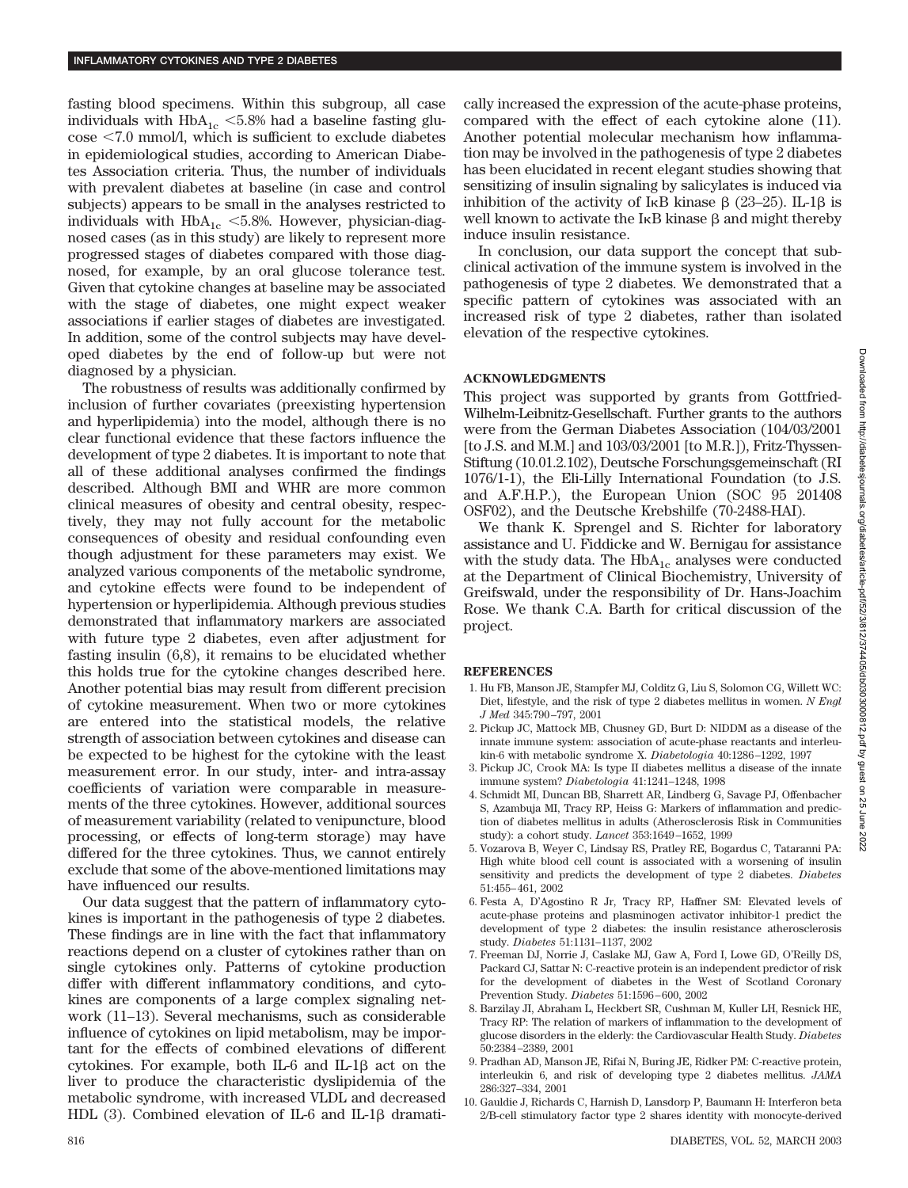fasting blood specimens. Within this subgroup, all case individuals with  $HbA_{1c} < 5.8\%$  had a baseline fasting glu- $\cos \epsilon$  <7.0 mmol/l, which is sufficient to exclude diabetes in epidemiological studies, according to American Diabetes Association criteria. Thus, the number of individuals with prevalent diabetes at baseline (in case and control subjects) appears to be small in the analyses restricted to individuals with  $HbA_{1c}$  <5.8%. However, physician-diagnosed cases (as in this study) are likely to represent more progressed stages of diabetes compared with those diagnosed, for example, by an oral glucose tolerance test. Given that cytokine changes at baseline may be associated with the stage of diabetes, one might expect weaker associations if earlier stages of diabetes are investigated. In addition, some of the control subjects may have developed diabetes by the end of follow-up but were not diagnosed by a physician.

The robustness of results was additionally confirmed by inclusion of further covariates (preexisting hypertension and hyperlipidemia) into the model, although there is no clear functional evidence that these factors influence the development of type 2 diabetes. It is important to note that all of these additional analyses confirmed the findings described. Although BMI and WHR are more common clinical measures of obesity and central obesity, respectively, they may not fully account for the metabolic consequences of obesity and residual confounding even though adjustment for these parameters may exist. We analyzed various components of the metabolic syndrome, and cytokine effects were found to be independent of hypertension or hyperlipidemia. Although previous studies demonstrated that inflammatory markers are associated with future type 2 diabetes, even after adjustment for fasting insulin (6,8), it remains to be elucidated whether this holds true for the cytokine changes described here. Another potential bias may result from different precision of cytokine measurement. When two or more cytokines are entered into the statistical models, the relative strength of association between cytokines and disease can be expected to be highest for the cytokine with the least measurement error. In our study, inter- and intra-assay coefficients of variation were comparable in measurements of the three cytokines. However, additional sources of measurement variability (related to venipuncture, blood processing, or effects of long-term storage) may have differed for the three cytokines. Thus, we cannot entirely exclude that some of the above-mentioned limitations may have influenced our results.

Our data suggest that the pattern of inflammatory cytokines is important in the pathogenesis of type 2 diabetes. These findings are in line with the fact that inflammatory reactions depend on a cluster of cytokines rather than on single cytokines only. Patterns of cytokine production differ with different inflammatory conditions, and cytokines are components of a large complex signaling network (11–13). Several mechanisms, such as considerable influence of cytokines on lipid metabolism, may be important for the effects of combined elevations of different cytokines. For example, both IL-6 and IL-1 $\beta$  act on the liver to produce the characteristic dyslipidemia of the metabolic syndrome, with increased VLDL and decreased HDL (3). Combined elevation of IL-6 and IL-1 $\beta$  dramatically increased the expression of the acute-phase proteins, compared with the effect of each cytokine alone (11). Another potential molecular mechanism how inflammation may be involved in the pathogenesis of type 2 diabetes has been elucidated in recent elegant studies showing that sensitizing of insulin signaling by salicylates is induced via inhibition of the activity of  $I \kappa B$  kinase  $\beta$  (23–25). IL-1 $\beta$  is well known to activate the  $I \kappa B$  kinase  $\beta$  and might thereby induce insulin resistance.

In conclusion, our data support the concept that subclinical activation of the immune system is involved in the pathogenesis of type 2 diabetes. We demonstrated that a specific pattern of cytokines was associated with an increased risk of type 2 diabetes, rather than isolated elevation of the respective cytokines.

## **ACKNOWLEDGMENTS**

This project was supported by grants from Gottfried-Wilhelm-Leibnitz-Gesellschaft. Further grants to the authors were from the German Diabetes Association (104/03/2001 [to J.S. and M.M.] and 103/03/2001 [to M.R.]), Fritz-Thyssen-Stiftung (10.01.2.102), Deutsche Forschungsgemeinschaft (RI 1076/1-1), the Eli-Lilly International Foundation (to J.S. and A.F.H.P.), the European Union (SOC 95 201408 OSF02), and the Deutsche Krebshilfe (70-2488-HAI).

We thank K. Sprengel and S. Richter for laboratory assistance and U. Fiddicke and W. Bernigau for assistance with the study data. The  $HbA_{1c}$  analyses were conducted at the Department of Clinical Biochemistry, University of Greifswald, under the responsibility of Dr. Hans-Joachim Rose. We thank C.A. Barth for critical discussion of the project.

### **REFERENCES**

- 1. Hu FB, Manson JE, Stampfer MJ, Colditz G, Liu S, Solomon CG, Willett WC: Diet, lifestyle, and the risk of type 2 diabetes mellitus in women. *N Engl J Med* 345:790–797, 2001
- 2. Pickup JC, Mattock MB, Chusney GD, Burt D: NIDDM as a disease of the innate immune system: association of acute-phase reactants and interleukin-6 with metabolic syndrome X. *Diabetologia* 40:1286–1292, 1997
- 3. Pickup JC, Crook MA: Is type II diabetes mellitus a disease of the innate immune system? *Diabetologia* 41:1241–1248, 1998
- 4. Schmidt MI, Duncan BB, Sharrett AR, Lindberg G, Savage PJ, Offenbacher S, Azambuja MI, Tracy RP, Heiss G: Markers of inflammation and prediction of diabetes mellitus in adults (Atherosclerosis Risk in Communities study): a cohort study. *Lancet* 353:1649–1652, 1999
- 5. Vozarova B, Weyer C, Lindsay RS, Pratley RE, Bogardus C, Tataranni PA: High white blood cell count is associated with a worsening of insulin sensitivity and predicts the development of type 2 diabetes. *Diabetes* 51:455–461, 2002
- 6. Festa A, D'Agostino R Jr, Tracy RP, Haffner SM: Elevated levels of acute-phase proteins and plasminogen activator inhibitor-1 predict the development of type 2 diabetes: the insulin resistance atherosclerosis study. *Diabetes* 51:1131–1137, 2002
- 7. Freeman DJ, Norrie J, Caslake MJ, Gaw A, Ford I, Lowe GD, O'Reilly DS, Packard CJ, Sattar N: C-reactive protein is an independent predictor of risk for the development of diabetes in the West of Scotland Coronary Prevention Study. *Diabetes* 51:1596–600, 2002
- 8. Barzilay JI, Abraham L, Heckbert SR, Cushman M, Kuller LH, Resnick HE, Tracy RP: The relation of markers of inflammation to the development of glucose disorders in the elderly: the Cardiovascular Health Study. *Diabetes* 50:2384–2389, 2001
- 9. Pradhan AD, Manson JE, Rifai N, Buring JE, Ridker PM: C-reactive protein, interleukin 6, and risk of developing type 2 diabetes mellitus. *JAMA* 286:327–334, 2001
- 10. Gauldie J, Richards C, Harnish D, Lansdorp P, Baumann H: Interferon beta 2/B-cell stimulatory factor type 2 shares identity with monocyte-derived